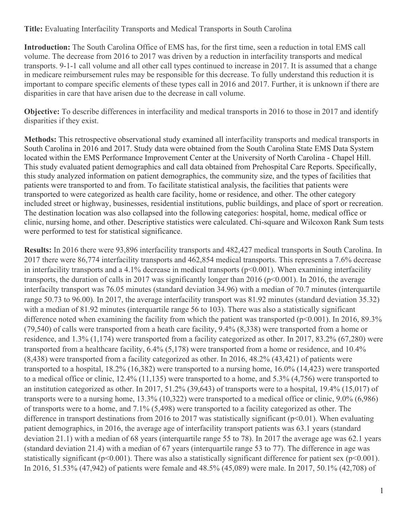**Title:** Evaluating Interfacility Transports and Medical Transports in South Carolina

**Introduction:** The South Carolina Office of EMS has, for the first time, seen a reduction in total EMS call volume. The decrease from 2016 to 2017 was driven by a reduction in interfacility transports and medical transports. 9-1-1 call volume and all other call types continued to increase in 2017. It is assumed that a change in medicare reimbursement rules may be responsible for this decrease. To fully understand this reduction it is important to compare specific elements of these types call in 2016 and 2017. Further, it is unknown if there are disparities in care that have arisen due to the decrease in call volume.

**Objective:** To describe differences in interfacility and medical transports in 2016 to those in 2017 and identify disparities if they exist.

**Methods:** This retrospective observational study examined all interfacility transports and medical transports in South Carolina in 2016 and 2017. Study data were obtained from the South Carolina State EMS Data System located within the EMS Performance Improvement Center at the University of North Carolina - Chapel Hill. This study evaluated patient demographics and call data obtained from Prehospital Care Reports. Specifically, this study analyzed information on patient demographics, the community size, and the types of facilities that patients were transported to and from. To facilitate statistical analysis, the facilities that patients were transported to were categorized as health care facility, home or residence, and other. The other category included street or highway, businesses, residential institutions, public buildings, and place of sport or recreation. The destination location was also collapsed into the following categories: hospital, home, medical office or clinic, nursing home, and other. Descriptive statistics were calculated. Chi-square and Wilcoxon Rank Sum tests were performed to test for statistical significance.

**Results:** In 2016 there were 93,896 interfacility transports and 482,427 medical transports in South Carolina. In 2017 there were 86,774 interfacility transports and 462,854 medical transports. This represents a 7.6% decrease in interfacility transports and a 4.1% decrease in medical transports ( $p<0.001$ ). When examining interfacility transports, the duration of calls in 2017 was significantly longer than 2016 (p<0.001). In 2016, the average interfacilty transport was 76.05 minutes (standard deviation 34.96) with a median of 70.7 minutes (interquartile range 50.73 to 96.00). In 2017, the average interfacility transport was 81.92 minutes (standard deviation 35.32) with a median of 81.92 minutes (interquartile range 56 to 103). There was also a statistically significant difference noted when examining the facility from which the patient was transported ( $p<0.001$ ). In 2016, 89.3% (79,540) of calls were transported from a heath care facility, 9.4% (8,338) were transported from a home or residence, and 1.3% (1,174) were transported from a facility categorized as other. In 2017, 83.2% (67,280) were transported from a healthcare facility, 6.4% (5,178) were transported from a home or residence, and 10.4% (8,438) were transported from a facility categorized as other. In 2016, 48.2% (43,421) of patients were transported to a hospital, 18.2% (16,382) were transported to a nursing home, 16.0% (14,423) were transported to a medical office or clinic, 12.4% (11,135) were transported to a home, and 5.3% (4,756) were transported to an institution categorized as other. In 2017, 51.2% (39,643) of transports were to a hospital, 19.4% (15,017) of transports were to a nursing home, 13.3% (10,322) were transported to a medical office or clinic, 9.0% (6,986) of transports were to a home, and 7.1% (5,498) were transported to a facility categorized as other. The difference in transport destinations from 2016 to 2017 was statistically significant ( $p<0.01$ ). When evaluating patient demographics, in 2016, the average age of interfacility transport patients was 63.1 years (standard deviation 21.1) with a median of 68 years (interquartile range 55 to 78). In 2017 the average age was 62.1 years (standard deviation 21.4) with a median of 67 years (interquartile range 53 to 77). The difference in age was statistically significant ( $p<0.001$ ). There was also a statistically significant difference for patient sex ( $p<0.001$ ). In 2016, 51.53% (47,942) of patients were female and 48.5% (45,089) were male. In 2017, 50.1% (42,708) of